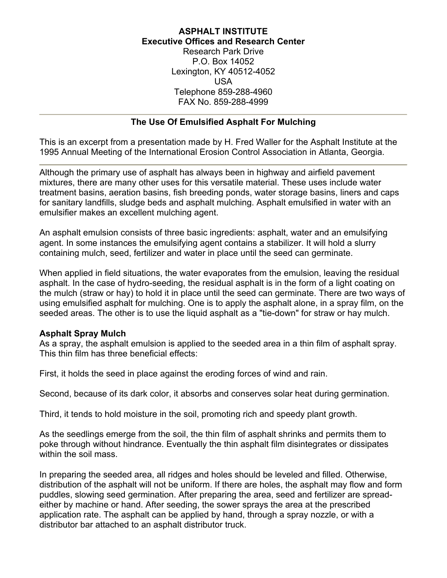## **ASPHALT INSTITUTE Executive Offices and Research Center**

Research Park Drive P.O. Box 14052 Lexington, KY 40512-4052 USA Telephone 859-288-4960 FAX No. 859-288-4999

## **The Use Of Emulsified Asphalt For Mulching**

This is an excerpt from a presentation made by H. Fred Waller for the Asphalt Institute at the 1995 Annual Meeting of the International Erosion Control Association in Atlanta, Georgia.

Although the primary use of asphalt has always been in highway and airfield pavement mixtures, there are many other uses for this versatile material. These uses include water treatment basins, aeration basins, fish breeding ponds, water storage basins, liners and caps for sanitary landfills, sludge beds and asphalt mulching. Asphalt emulsified in water with an emulsifier makes an excellent mulching agent.

An asphalt emulsion consists of three basic ingredients: asphalt, water and an emulsifying agent. In some instances the emulsifying agent contains a stabilizer. It will hold a slurry containing mulch, seed, fertilizer and water in place until the seed can germinate.

When applied in field situations, the water evaporates from the emulsion, leaving the residual asphalt. In the case of hydro-seeding, the residual asphalt is in the form of a light coating on the mulch (straw or hay) to hold it in place until the seed can germinate. There are two ways of using emulsified asphalt for mulching. One is to apply the asphalt alone, in a spray film, on the seeded areas. The other is to use the liquid asphalt as a "tie-down" for straw or hay mulch.

## **Asphalt Spray Mulch**

As a spray, the asphalt emulsion is applied to the seeded area in a thin film of asphalt spray. This thin film has three beneficial effects:

First, it holds the seed in place against the eroding forces of wind and rain.

Second, because of its dark color, it absorbs and conserves solar heat during germination.

Third, it tends to hold moisture in the soil, promoting rich and speedy plant growth.

As the seedlings emerge from the soil, the thin film of asphalt shrinks and permits them to poke through without hindrance. Eventually the thin asphalt film disintegrates or dissipates within the soil mass.

In preparing the seeded area, all ridges and holes should be leveled and filled. Otherwise, distribution of the asphalt will not be uniform. If there are holes, the asphalt may flow and form puddles, slowing seed germination. After preparing the area, seed and fertilizer are spreadeither by machine or hand. After seeding, the sower sprays the area at the prescribed application rate. The asphalt can be applied by hand, through a spray nozzle, or with a distributor bar attached to an asphalt distributor truck.